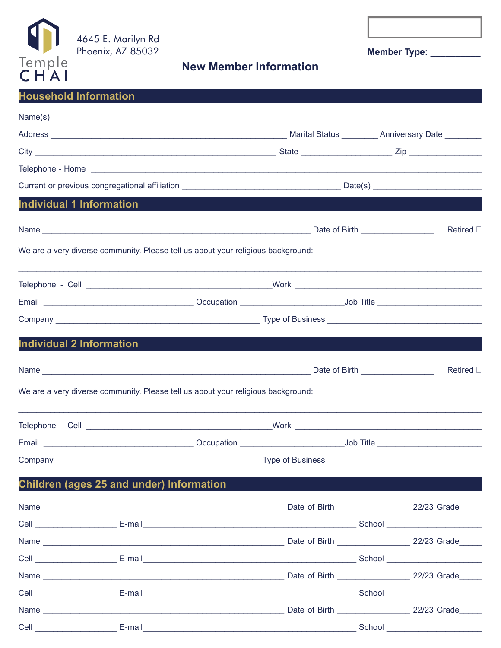

Cell E-mail

**New Member Information** 

Member Type: \_\_\_\_\_\_\_\_\_\_

# CHAI **Household Information**  $Name(s)$ Address National Address Anniversary Date National Address National Anniversary Date National Anniversary Date Current or previous congregational affiliation **Example 12** Date(s) **Individual 1 Information Example 2018 Date of Birth Date of Birth** Name and the state of the state of the state of the state of the state of the state of the state of the state o Retired <sub>[]</sub> We are a very diverse community. Please tell us about your religious background: Telephone - Cell North Communication of the Work North Communication of the Work **CONSERVANCE CONSERVANCE CONSERVANCE CONSERVANCE CONSERVANCE CONSERVANCE CONSERVANCE CONSERVANCE CONSERVANCE CON** Job Title Email **Example 2018** Type of Business Company **Company** Individual 2 Information Name Date of Birth Retired D We are a very diverse community. Please tell us about your religious background: Telephone - Cell North Communication of the Work North Communication of the Work Communication of the Communication of the Communication of the Communication of the Communication of the Communication of the Communication o Children (ages 25 and under) Information Name 22/23 Grade Date of Birth Manuel 22/23 Grade Name **Name School** School **Cell E-mail** Date of Birth 22/23 Grade **Name Cell** School **E-mail** Date of Birth Manuel 22/23 Grade Name and the state of the state of the state of the state of the state of the state of the state of the state of the state of the state of the state of the state of the state of the state of the state of the state of the s

**Example 2018** School School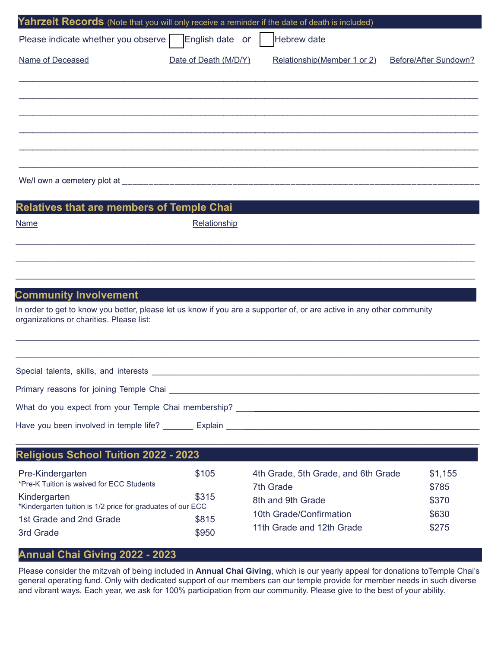| Yahrzeit Records (Note that you will only receive a reminder if the date of death is included) |                       |                              |                       |
|------------------------------------------------------------------------------------------------|-----------------------|------------------------------|-----------------------|
| Please indicate whether you observe                                                            | English date or       | Hebrew date                  |                       |
| Name of Deceased                                                                               | Date of Death (M/D/Y) | Relationship (Member 1 or 2) | Before/After Sundown? |
|                                                                                                |                       |                              |                       |
|                                                                                                |                       |                              |                       |
|                                                                                                |                       |                              |                       |
|                                                                                                |                       |                              |                       |
|                                                                                                |                       |                              |                       |
| <b>Relatives that are members of Temple Chai</b>                                               |                       |                              |                       |

Relationship

### **Community Involvement**

In order to get to know you better, please let us know if you are a supporter of, or are active in any other community organizations or charities. Please list:

 $\mathcal{L}_\mathcal{L} = \mathcal{L}_\mathcal{L} = \mathcal{L}_\mathcal{L} = \mathcal{L}_\mathcal{L} = \mathcal{L}_\mathcal{L} = \mathcal{L}_\mathcal{L} = \mathcal{L}_\mathcal{L} = \mathcal{L}_\mathcal{L} = \mathcal{L}_\mathcal{L} = \mathcal{L}_\mathcal{L} = \mathcal{L}_\mathcal{L} = \mathcal{L}_\mathcal{L} = \mathcal{L}_\mathcal{L} = \mathcal{L}_\mathcal{L} = \mathcal{L}_\mathcal{L} = \mathcal{L}_\mathcal{L} = \mathcal{L}_\mathcal{L}$ 

 $\mathcal{L}_\mathcal{L} = \mathcal{L}_\mathcal{L} = \mathcal{L}_\mathcal{L} = \mathcal{L}_\mathcal{L} = \mathcal{L}_\mathcal{L} = \mathcal{L}_\mathcal{L} = \mathcal{L}_\mathcal{L} = \mathcal{L}_\mathcal{L} = \mathcal{L}_\mathcal{L} = \mathcal{L}_\mathcal{L} = \mathcal{L}_\mathcal{L} = \mathcal{L}_\mathcal{L} = \mathcal{L}_\mathcal{L} = \mathcal{L}_\mathcal{L} = \mathcal{L}_\mathcal{L} = \mathcal{L}_\mathcal{L} = \mathcal{L}_\mathcal{L}$ 

Special talents, skills, and interests \_\_\_\_\_\_\_\_\_\_\_\_\_\_\_\_\_\_\_\_\_\_\_\_\_\_\_\_\_\_\_\_\_\_\_\_\_\_\_\_\_\_\_\_\_\_\_\_\_\_\_\_\_\_\_\_\_\_\_\_\_\_\_\_\_\_\_\_\_\_\_\_

Primary reasons for joining Temple Chai \_\_\_\_\_\_\_\_\_\_\_\_\_\_\_\_\_\_\_\_\_\_\_\_\_\_\_\_\_\_\_\_\_\_\_\_\_\_\_\_\_\_\_\_\_\_\_\_\_\_\_\_\_\_\_\_\_\_\_\_\_\_

What do you expect from your Temple Chai membership? \_\_\_\_\_\_\_\_\_\_\_\_\_\_\_\_\_\_\_\_\_\_\_\_\_\_\_\_\_\_\_\_\_\_\_\_\_\_\_\_\_\_\_\_\_\_\_\_\_

Have you been involved in temple life? \_\_\_\_\_ Explain \_\_\_\_\_\_\_\_\_\_\_\_\_\_\_\_\_\_\_\_\_\_\_\_\_\_\_

#### **Religious School Tuition 2022 - 2023** Pre-Kindergarten \$105 \*Pre-K Tuition is waived for ECC Students Kindergarten **\$315** \*Kindergarten tuition is 1/2 price for graduates of our ECC 1st Grade and 2nd Grade **\$815** 3rd Grade  $\sim$  \$950 4th Grade, 5th Grade, and 6th Grade \$1,155 7th Grade \$785 8th and 9th Grade \$370 10th Grade/Confirmation **\$630** 11th Grade and 12th Grade **\$275**

### **Annual Chai Giving 2022 - 2023**

Please consider the mitzvah of being included in **Annual Chai Giving**, which is our yearly appeal for donations toTemple Chai's general operating fund. Only with dedicated support of our members can our temple provide for member needs in such diverse and vibrant ways. Each year, we ask for 100% participation from our community. Please give to the best of your ability.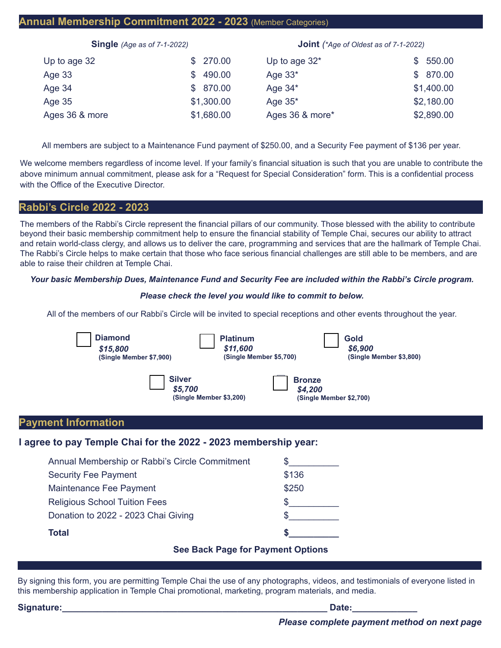## **Annual Membership Commitment 2022 - 2023** (Member Categories)

| Single (Age as of 7-1-2022) |            | <b>Joint</b> (*Age of Oldest as of 7-1-2022) |               |
|-----------------------------|------------|----------------------------------------------|---------------|
| Up to age 32                | \$270.00   | Up to age $32^*$                             | 550.00<br>\$. |
| Age 33                      | \$490.00   | Age $33*$                                    | \$ 870.00     |
| Age 34                      | \$ 870.00  | Age $34^*$                                   | \$1,400.00    |
| Age $35$                    | \$1,300.00 | Age $35^*$                                   | \$2,180.00    |
| Ages 36 & more              | \$1,680.00 | Ages 36 & more*                              | \$2,890.00    |

All members are subject to a Maintenance Fund payment of \$250.00, and a Security Fee payment of \$136 per year.

We welcome members regardless of income level. If your family's financial situation is such that you are unable to contribute the above minimum annual commitment, please ask for a "Request for Special Consideration" form. This is a confidential process with the Office of the Executive Director.

### **Rabbi's Circle 2022 - 2023**

The members of the Rabbi's Circle represent the financial pillars of our community. Those blessed with the ability to contribute beyond their basic membership commitment help to ensure the financial stability of Temple Chai, secures our ability to attract and retain world-class clergy, and allows us to deliver the care, programming and services that are the hallmark of Temple Chai. The Rabbi's Circle helps to make certain that those who face serious financial challenges are still able to be members, and are able to raise their children at Temple Chai.

#### *Your basic Membership Dues, Maintenance Fund and Security Fee are included within the Rabbi's Circle program.*

#### *Please check the level you would like to commit to below.*

All of the members of our Rabbi's Circle will be invited to special receptions and other events throughout the year.

| <b>Diamond</b><br><b>Platinum</b><br>\$11,600<br>\$15,800<br>(Single Member \$5,700)<br>(Single Member \$7,900) | Gold<br>\$6,900<br>(Single Member \$3,800)          |
|-----------------------------------------------------------------------------------------------------------------|-----------------------------------------------------|
| <b>Silver</b><br>\$5,700<br>(Single Member \$3,200)                                                             | <b>Bronze</b><br>\$4,200<br>(Single Member \$2,700) |
| <b>Payment Information</b>                                                                                      |                                                     |
| I agree to pay Temple Chai for the 2022 - 2023 membership year:                                                 |                                                     |
| Annual Membership or Rabbi's Circle Commitment                                                                  |                                                     |
| <b>Security Fee Payment</b>                                                                                     | \$136                                               |
| Maintenance Fee Payment                                                                                         | \$250                                               |
| <b>Religious School Tuition Fees</b>                                                                            |                                                     |
| Donation to 2022 - 2023 Chai Giving                                                                             |                                                     |
| <b>Total</b>                                                                                                    |                                                     |
| <b>See Back Page for Payment Options</b>                                                                        |                                                     |

By signing this form, you are permitting Temple Chai the use of any photographs, videos, and testimonials of everyone listed in this membership application in Temple Chai promotional, marketing, program materials, and media.

| Signature: | Date: |  |
|------------|-------|--|
|            |       |  |

*Please complete payment method on next page*